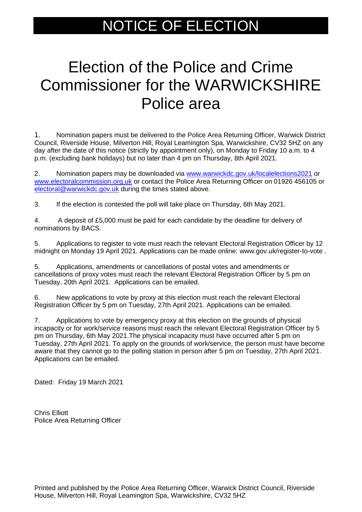## NOTICE OF ELECTION

## Election of the Police and Crime Commissioner for the WARWICKSHIRE Police area

1. Nomination papers must be delivered to the Police Area Returning Officer, Warwick District Council, Riverside House, Milverton Hill, Royal Leamington Spa, Warwickshire, CV32 5HZ on any day after the date of this notice (strictly by appointment only), on Monday to Friday 10 a.m. to 4 p.m. (excluding bank holidays) but no later than 4 pm on Thursday, 8th April 2021.

2. Nomination papers may be downloaded via [www.warwickdc.gov.uk/localelections2021](http://www.warwickdc.gov.uk/localelections2021) or [www.electoralcommission.org.uk](http://www.electoralcommission.org.uk/) or contact the Police Area Returning Officer on 01926 456105 or [electoral@warwickdc.gov.uk](mailto:electoral@warwickdc.gov.uk) during the times stated above.

3. If the election is contested the poll will take place on Thursday, 6th May 2021.

4. A deposit of £5,000 must be paid for each candidate by the deadline for delivery of nominations by BACS.

5. Applications to register to vote must reach the relevant Electoral Registration Officer by 12 midnight on Monday 19 April 2021. Applications can be made online: www.gov.uk/register-to-vote .

5. Applications, amendments or cancellations of postal votes and amendments or cancellations of proxy votes must reach the relevant Electoral Registration Officer by 5 pm on Tuesday, 20th April 2021. Applications can be emailed.

6. New applications to vote by proxy at this election must reach the relevant Electoral Registration Officer by 5 pm on Tuesday, 27th April 2021. Applications can be emailed.

7. Applications to vote by emergency proxy at this election on the grounds of physical incapacity or for work/service reasons must reach the relevant Electoral Registration Officer by 5 pm on Thursday, 6th May 2021.The physical incapacity must have occurred after 5 pm on Tuesday, 27th April 2021. To apply on the grounds of work/service, the person must have become aware that they cannot go to the polling station in person after 5 pm on Tuesday, 27th April 2021. Applications can be emailed.

Dated: Friday 19 March 2021

Chris Elliott Police Area Returning Officer